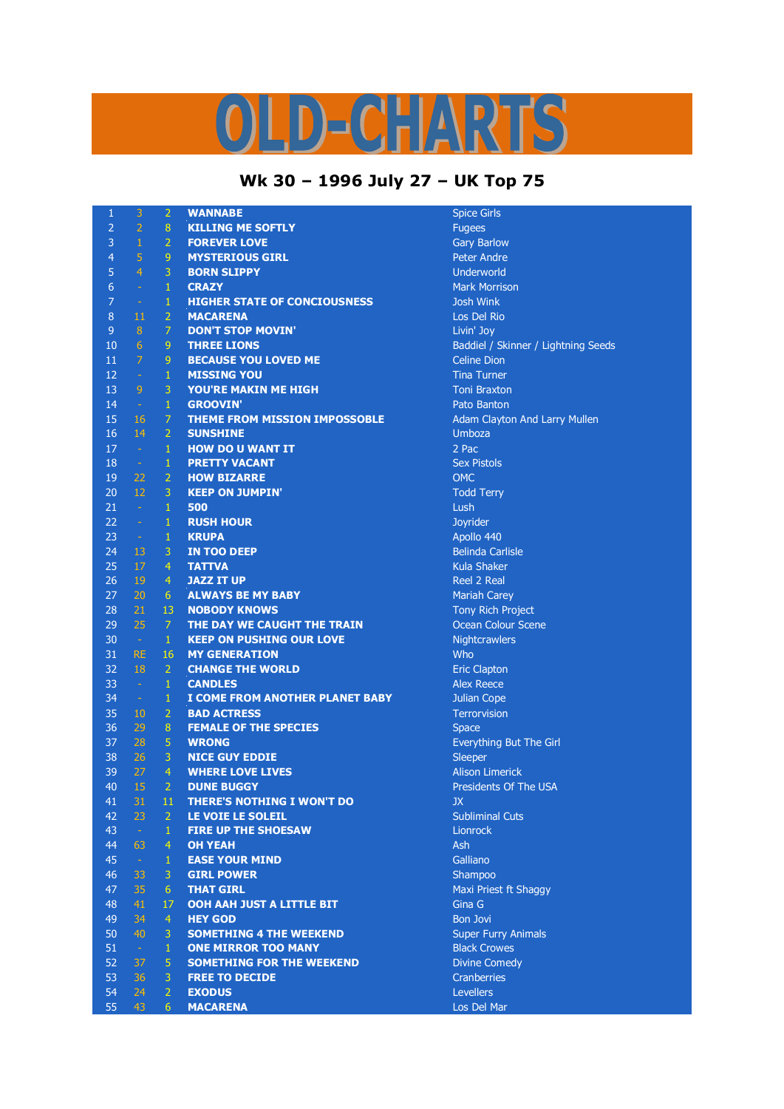## D)=  $\mathbf{C}$

## **Wk 30 – 1996 July 27 – UK Top 75**

| $\mathbf{1}$   | 3              | $\overline{2}$            | <b>WANNABE</b>                                   | Spice Gi              |
|----------------|----------------|---------------------------|--------------------------------------------------|-----------------------|
| $\overline{2}$ | $\overline{2}$ | $\boldsymbol{8}$          | <b>KILLING ME SOFTLY</b>                         | Fugees                |
| $\overline{3}$ | $\,1$          | $\overline{2}$            | <b>FOREVER LOVE</b>                              | Gary Bar              |
| $\overline{4}$ | 5              | 9                         | <b>MYSTERIOUS GIRL</b>                           | Peter Ar              |
| 5              | $\overline{4}$ | 3                         | <b>BORN SLIPPY</b>                               | Underwo               |
| $\overline{6}$ | $\omega$       | $\mathbf{1}$              | <b>CRAZY</b>                                     | <b>Mark Mc</b>        |
| $\overline{7}$ | $\rightarrow$  | $\mathbf 1$               | <b>HIGHER STATE OF CONCIOUSNESS</b>              | Josh Wir              |
| 8              | 11             | $\overline{2}$            | <b>MACARENA</b>                                  | Los Del               |
| $\overline{9}$ | $\, 8$         | $\overline{7}$            | <b>DON'T STOP MOVIN'</b>                         | Livin' Jo             |
| 10             | $\overline{6}$ | 9                         | <b>THREE LIONS</b>                               | Baddiel               |
| 11             | $\overline{7}$ | $\boldsymbol{9}$          | <b>BECAUSE YOU LOVED ME</b>                      | Celine D              |
| 12             | $\sim$         | $\mathbf{1}$              | <b>MISSING YOU</b>                               | <b>Tina Tur</b>       |
| 13             | $\overline{9}$ | $\overline{3}$            | <b>YOU'RE MAKIN ME HIGH</b>                      | <b>Toni Bra</b>       |
| 14             | $\sim$         | $\mathbf 1$               | <b>GROOVIN'</b>                                  | Pato Bar              |
| 15             | 16             | $\overline{7}$            | THEME FROM MISSION IMPOSSOBLE                    | Adam Cl               |
| 16             | 14             | $\overline{2}$            | <b>SUNSHINE</b>                                  | Umboza                |
| 17             | $\sim$         | $\,1\,$                   | <b>HOW DO U WANT IT</b>                          | $2$ Pac               |
| 18             | $\sim$         | $\,1\,$                   | <b>PRETTY VACANT</b>                             | <b>Sex Pisto</b>      |
| 19             | 22             | $\overline{2}$            | <b>HOW BIZARRE</b>                               | <b>OMC</b>            |
| 20             | 12             | 3                         | <b>KEEP ON JUMPIN'</b>                           | <b>Todd Te</b>        |
| 21             | $\sim$         | $\,1\,$                   | 500                                              | Lush                  |
| 22             | $\sim$         | $\mathbf{1}$              | <b>RUSH HOUR</b>                                 | Joyrider              |
| 23             | $\sim 10^{-1}$ | $\mathbf{1}$              | <b>KRUPA</b>                                     | Apollo 4              |
| 24             | 13             | 3                         | <b>IN TOO DEEP</b>                               | <b>Belinda</b>        |
| 25             | 17             | $\overline{4}$            | <b>TATTVA</b>                                    | <b>Kula Sha</b>       |
| 26             | 19             | $\overline{4}$            | <b>JAZZ IT UP</b>                                | Reel 2 R              |
| 27             | 20             | $6\phantom{1}$            | <b>ALWAYS BE MY BABY</b>                         | Mariah (              |
| 28             | 21             | 13                        | <b>NOBODY KNOWS</b>                              | <b>Tony Rio</b>       |
| 29             | 25             | $\mathcal{I}$             | THE DAY WE CAUGHT THE TRAIN                      | Ocean C               |
| 30             | $\sim$ $\sim$  | $\mathbf{1}$              | <b>KEEP ON PUSHING OUR LOVE</b>                  | Nightcra              |
| 31             | <b>RE</b>      | 16                        | <b>MY GENERATION</b>                             | Who                   |
| 32             | 18             | $\overline{2}$            | <b>CHANGE THE WORLD</b>                          | <b>Eric Clap</b>      |
| 33             | $\sim$         | $\,1\,$                   | <b>CANDLES</b>                                   | Alex Ree              |
| 34             | $\sim$         | $\mathbf{1}$              | I COME FROM ANOTHER PLANET BABY                  | Julian Co             |
| 35             | 10             | $\overline{2}$            | <b>BAD ACTRESS</b>                               | Terrorvis             |
| 36<br>37       | 29<br>28       | $\bf 8$<br>$\overline{5}$ | <b>FEMALE OF THE SPECIES</b><br><b>WRONG</b>     | <b>Space</b>          |
| 38             | 26             | $\overline{3}$            |                                                  | Everythi              |
| 39             | 27             | $\overline{4}$            | <b>NICE GUY EDDIE</b><br><b>WHERE LOVE LIVES</b> | Sleeper               |
| 40             | 15             | $\overline{2}$            | <b>DUNE BUGGY</b>                                | Alison Li<br>Presider |
| 41             | 31             | 11                        | <b>THERE'S NOTHING I WON'T DO</b>                | JX.                   |
| 42             | 23             | $\overline{2}$            | LE VOIE LE SOLEIL                                | Sublimir              |
| 43             | $\sim$         | $\mathbf{1}$              | <b>FIRE UP THE SHOESAW</b>                       | Lionrock              |
| 44             | 63             | $\overline{4}$            | <b>OH YEAH</b>                                   | Ash                   |
| 45             | $\sim$         | $\mathbf{1}$              | <b>EASE YOUR MIND</b>                            | Galliano              |
| 46             | 33             | 3                         | <b>GIRL POWER</b>                                | Shampo                |
| 47             | 35             | $6\phantom{1}$            | <b>THAT GIRL</b>                                 | <b>Maxi Pri</b>       |
| 48             | 41             | 17                        | OOH AAH JUST A LITTLE BIT                        | Gina G                |
| 49             | 34             | $\overline{4}$            | <b>HEY GOD</b>                                   | <b>Bon Jovi</b>       |
| 50             | 40             | 3                         | <b>SOMETHING 4 THE WEEKEND</b>                   | Super Ft              |
| 51             | $\sim$         | $\mathbf{1}$              | <b>ONE MIRROR TOO MANY</b>                       | <b>Black Cr</b>       |
| 52             | 37             | 5                         | <b>SOMETHING FOR THE WEEKEND</b>                 | Divine C              |
| 53             | 36             | 3                         | <b>FREE TO DECIDE</b>                            | Cranber               |
| 54             | 24             | $\overline{2}$            | <b>EXODUS</b>                                    | Levellers             |
| 55             | 43             | 6                         | <b>MACARENA</b>                                  | Los Del               |

**Spice Girls Gary Barlow** Peter Andre **Underworld Mark Morrison Josh Wink** Los Del Rio Livin' Joy Baddiel / Skinner / Lightning Seeds **Celine Dion Tina Turner Toni Braxton** Pato Banton Adam Clayton And Larry Mullen **Sex Pistols Todd Terry Joyrider** Apollo 440 **Belinda Carlisle Kula Shaker Reel 2 Real Mariah Carey Tony Rich Project Ocean Colour Scene Nightcrawlers Eric Clapton** Alex Reece **Julian Cope Terrorvision Everything But The Girl Alison Limerick** Presidents Of The USA **Subliminal Cuts** Galliano Shampoo **Maxi Priest ft Shaggy Bon Jovi Super Furry Animals Black Crowes Divine Comedy Cranberries** Levellers

**Los Del Mar**